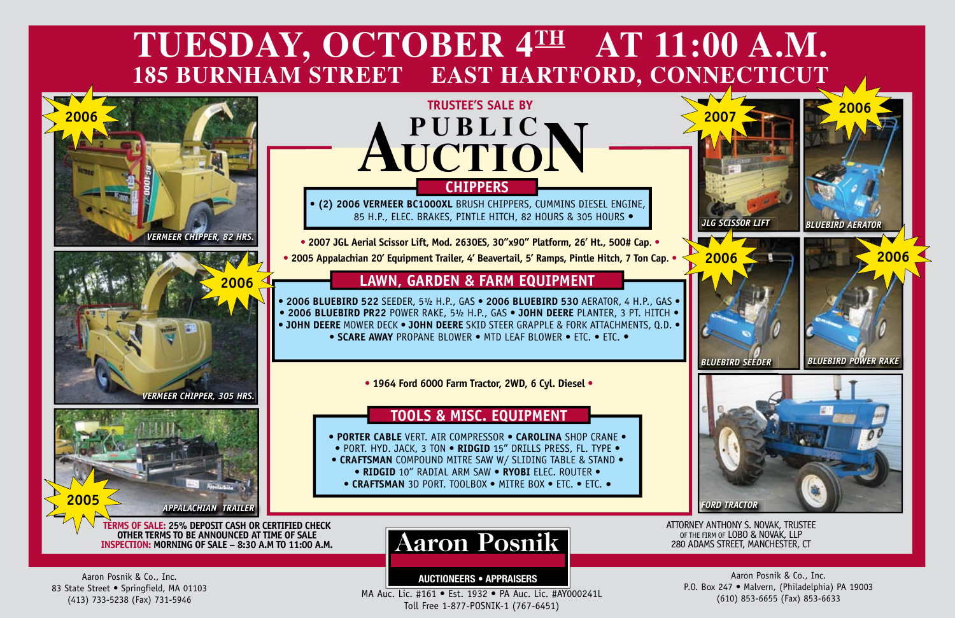

**AUCTIONEERS • APPRAISERS**

Aaron Posnik & Co., Inc. 83 State Street · Springfield, MA 01103 (413) 733-5238 (Fax) 731-5946

MA Auc. Lic. #161 • Est. 1932 • PA Auc. Lic. #AY000241L Toll Free 1-877-POSNIK-1 (767-6451)

Aaron Posnik & Co., Inc. P.O. Box 247 • Malvern, (Philadelphia) PA 19003 (610) 853-6655 (Fax) 853-6633